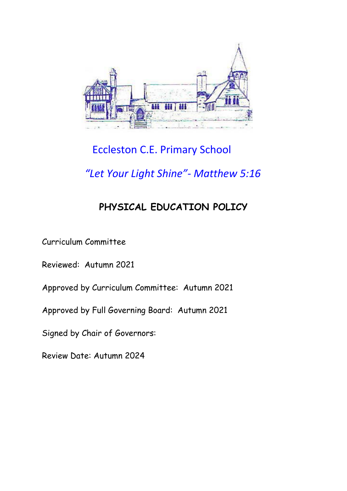

# Eccleston C.E. Primary School

# *"Let Your Light Shine"- Matthew 5:16*

# **PHYSICAL EDUCATION POLICY**

Curriculum Committee

Reviewed: Autumn 2021

Approved by Curriculum Committee: Autumn 2021

Approved by Full Governing Board: Autumn 2021

Signed by Chair of Governors:

Review Date: Autumn 2024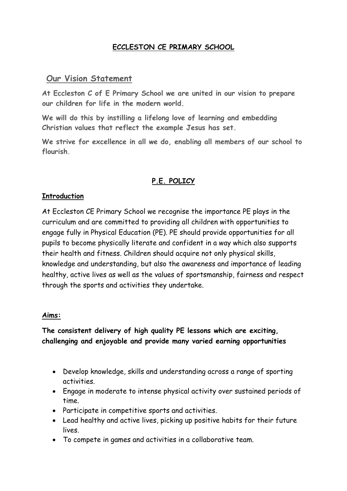## **ECCLESTON CE PRIMARY SCHOOL**

# **Our Vision Statement**

**At Eccleston C of E Primary School we are united in our vision to prepare our children for life in the modern world.**

**We will do this by instilling a lifelong love of learning and embedding Christian values that reflect the example Jesus has set.**

**We strive for excellence in all we do, enabling all members of our school to flourish.**

## **P.E. POLICY**

## **Introduction**

At Eccleston CE Primary School we recognise the importance PE plays in the curriculum and are committed to providing all children with opportunities to engage fully in Physical Education (PE). PE should provide opportunities for all pupils to become physically literate and confident in a way which also supports their health and fitness. Children should acquire not only physical skills, knowledge and understanding, but also the awareness and importance of leading healthy, active lives as well as the values of sportsmanship, fairness and respect through the sports and activities they undertake.

#### **Aims:**

## **The consistent delivery of high quality PE lessons which are exciting, challenging and enjoyable and provide many varied earning opportunities**

- Develop knowledge, skills and understanding across a range of sporting activities.
- Engage in moderate to intense physical activity over sustained periods of time.
- Participate in competitive sports and activities.
- Lead healthy and active lives, picking up positive habits for their future lives.
- To compete in games and activities in a collaborative team.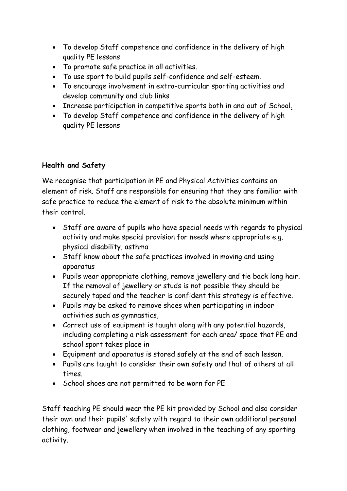- To develop Staff competence and confidence in the delivery of high quality PE lessons
- To promote safe practice in all activities.
- To use sport to build pupils self-confidence and self-esteem.
- To encourage involvement in extra-curricular sporting activities and develop community and club links
- Increase participation in competitive sports both in and out of School.
- To develop Staff competence and confidence in the delivery of high quality PE lessons

# **Health and Safety**

We recognise that participation in PE and Physical Activities contains an element of risk. Staff are responsible for ensuring that they are familiar with safe practice to reduce the element of risk to the absolute minimum within their control.

- Staff are aware of pupils who have special needs with regards to physical activity and make special provision for needs where appropriate e.g. physical disability, asthma
- Staff know about the safe practices involved in moving and using apparatus
- Pupils wear appropriate clothing, remove jewellery and tie back long hair. If the removal of jewellery or studs is not possible they should be securely taped and the teacher is confident this strategy is effective.
- Pupils may be asked to remove shoes when participating in indoor activities such as gymnastics,
- Correct use of equipment is taught along with any potential hazards, including completing a risk assessment for each area/ space that PE and school sport takes place in
- Equipment and apparatus is stored safely at the end of each lesson.
- Pupils are taught to consider their own safety and that of others at all times.
- School shoes are not permitted to be worn for PE

Staff teaching PE should wear the PE kit provided by School and also consider their own and their pupils' safety with regard to their own additional personal clothing, footwear and jewellery when involved in the teaching of any sporting activity.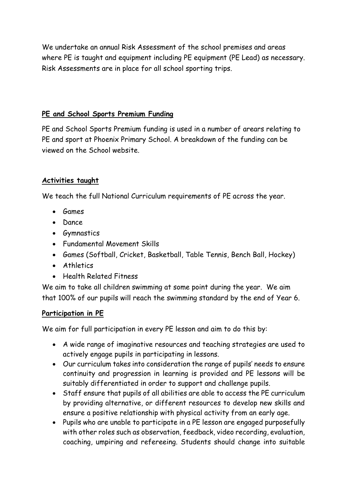We undertake an annual Risk Assessment of the school premises and areas where PE is taught and equipment including PE equipment (PE Lead) as necessary. Risk Assessments are in place for all school sporting trips.

## **PE and School Sports Premium Funding**

PE and School Sports Premium funding is used in a number of arears relating to PE and sport at Phoenix Primary School. A breakdown of the funding can be viewed on the School website.

## **Activities taught**

We teach the full National Curriculum requirements of PE across the year.

- Games
- Dance
- Gymnastics
- Fundamental Movement Skills
- Games (Softball, Cricket, Basketball, Table Tennis, Bench Ball, Hockey)
- Athletics
- Health Related Fitness

We aim to take all children swimming at some point during the year. We aim that 100% of our pupils will reach the swimming standard by the end of Year 6.

## **Participation in PE**

We aim for full participation in every PE lesson and aim to do this by:

- A wide range of imaginative resources and teaching strategies are used to actively engage pupils in participating in lessons.
- Our curriculum takes into consideration the range of pupils' needs to ensure continuity and progression in learning is provided and PE lessons will be suitably differentiated in order to support and challenge pupils.
- Staff ensure that pupils of all abilities are able to access the PE curriculum by providing alternative, or different resources to develop new skills and ensure a positive relationship with physical activity from an early age.
- Pupils who are unable to participate in a PE lesson are engaged purposefully with other roles such as observation, feedback, video recording, evaluation, coaching, umpiring and refereeing. Students should change into suitable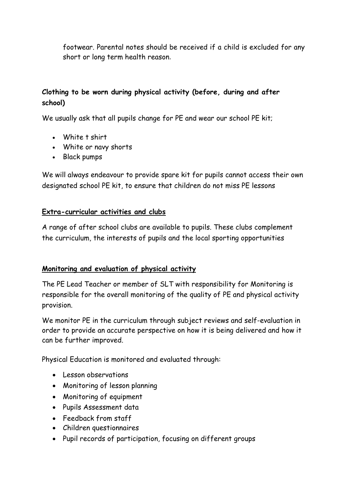footwear. Parental notes should be received if a child is excluded for any short or long term health reason.

# **Clothing to be worn during physical activity (before, during and after school)**

We usually ask that all pupils change for PE and wear our school PE kit;

- White t shirt
- White or navy shorts
- Black pumps

We will always endeavour to provide spare kit for pupils cannot access their own designated school PE kit, to ensure that children do not miss PE lessons

## **Extra-curricular activities and clubs**

A range of after school clubs are available to pupils. These clubs complement the curriculum, the interests of pupils and the local sporting opportunities

## **Monitoring and evaluation of physical activity**

The PE Lead Teacher or member of SLT with responsibility for Monitoring is responsible for the overall monitoring of the quality of PE and physical activity provision.

We monitor PE in the curriculum through subject reviews and self-evaluation in order to provide an accurate perspective on how it is being delivered and how it can be further improved.

Physical Education is monitored and evaluated through:

- Lesson observations
- Monitoring of lesson planning
- Monitoring of equipment
- Pupils Assessment data
- Feedback from staff
- Children questionnaires
- Pupil records of participation, focusing on different groups